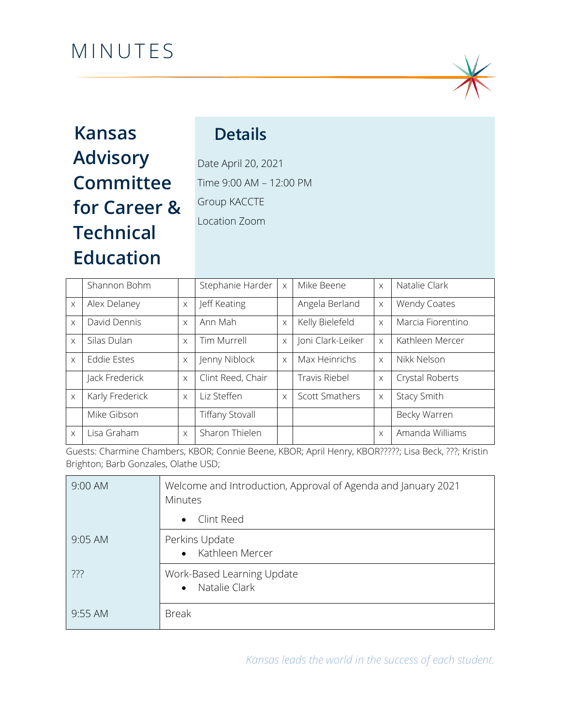# MINUTES



## 0B**Kansas Advisory Committee for Career & Technical Education**

## 1B**Details**

Date April 20, 2021 Time 9:00 AM – 12:00 PM Group KACCTE Location Zoom

|          | Shannon Bohm    |          | Stephanie Harder       | $\times$ | Mike Beene            | $\times$ | Natalie Clark     |
|----------|-----------------|----------|------------------------|----------|-----------------------|----------|-------------------|
| $\times$ | Alex Delaney    | $\times$ | Jeff Keating           |          | Angela Berland        | $\times$ | Wendy Coates      |
| $\times$ | David Dennis    | $\times$ | Ann Mah                | $\times$ | Kelly Bielefeld       | $\times$ | Marcia Fiorentino |
| $\times$ | Silas Dulan     | $\times$ | Tim Murrell            | X        | Joni Clark-Leiker     | $\times$ | Kathleen Mercer   |
| $\times$ | Eddie Estes     | $\times$ | Jenny Niblock          | $\times$ | Max Heinrichs         | $\times$ | Nikk Nelson       |
|          | Jack Frederick  | $\times$ | Clint Reed, Chair      |          | Travis Riebel         | $\times$ | Crystal Roberts   |
| $\times$ | Karly Frederick | $\times$ | Liz Steffen            | $\times$ | <b>Scott Smathers</b> | $\times$ | Stacy Smith       |
|          | Mike Gibson     |          | <b>Tiffany Stovall</b> |          |                       |          | Becky Warren      |
| $\times$ | Lisa Graham     | $\times$ | Sharon Thielen         |          |                       | $\times$ | Amanda Williams   |

Guests: Charmine Chambers, KBOR; Connie Beene, KBOR; April Henry, KBOR?????; Lisa Beck, ???; Kristin Brighton; Barb Gonzales, Olathe USD;

| 9:00 AM | Welcome and Introduction, Approval of Agenda and January 2021<br><b>Minutes</b> |
|---------|---------------------------------------------------------------------------------|
|         | • Clint Reed                                                                    |
| 9:05 AM | Perkins Update<br>• Kathleen Mercer                                             |
| ???     | Work-Based Learning Update<br>Natalie Clark<br>$\bullet$                        |
| 9:55 AM | <b>Break</b>                                                                    |

*Kansas leads the world in the success of each student.*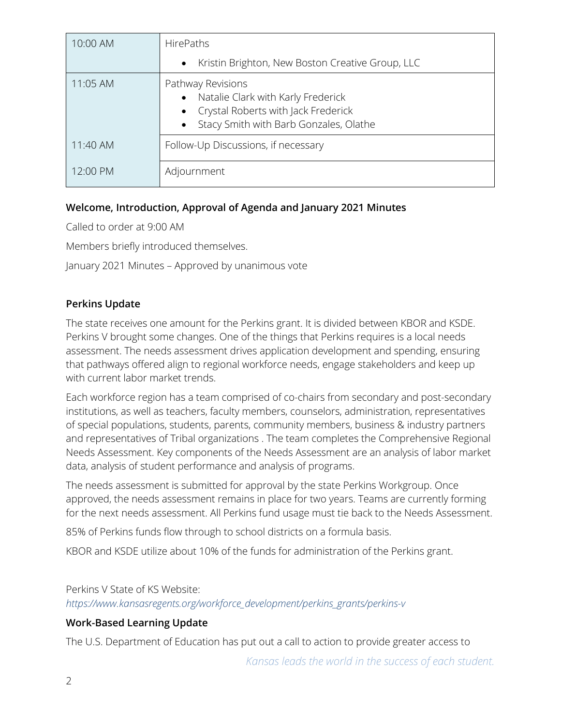| 10:00 AM | <b>HirePaths</b>                                                                                                                                                   |  |  |  |  |
|----------|--------------------------------------------------------------------------------------------------------------------------------------------------------------------|--|--|--|--|
|          | Kristin Brighton, New Boston Creative Group, LLC<br>$\bullet$                                                                                                      |  |  |  |  |
| 11:05 AM | Pathway Revisions<br>Natalie Clark with Karly Frederick<br>$\bullet$<br>Crystal Roberts with Jack Frederick<br>Stacy Smith with Barb Gonzales, Olathe<br>$\bullet$ |  |  |  |  |
| 11:40 AM | Follow-Up Discussions, if necessary                                                                                                                                |  |  |  |  |
| 12:00 PM | Adjournment                                                                                                                                                        |  |  |  |  |

## **Welcome, Introduction, Approval of Agenda and January 2021 Minutes**

Called to order at 9:00 AM

Members briefly introduced themselves.

January 2021 Minutes – Approved by unanimous vote

## **Perkins Update**

The state receives one amount for the Perkins grant. It is divided between KBOR and KSDE. Perkins V brought some changes. One of the things that Perkins requires is a local needs assessment. The needs assessment drives application development and spending, ensuring that pathways offered align to regional workforce needs, engage stakeholders and keep up with current labor market trends.

Each workforce region has a team comprised of co-chairs from secondary and post-secondary institutions, as well as teachers, faculty members, counselors, administration, representatives of special populations, students, parents, community members, business & industry partners and representatives of Tribal organizations . The team completes the Comprehensive Regional Needs Assessment. Key components of the Needs Assessment are an analysis of labor market data, analysis of student performance and analysis of programs.

The needs assessment is submitted for approval by the state Perkins Workgroup. Once approved, the needs assessment remains in place for two years. Teams are currently forming for the next needs assessment. All Perkins fund usage must tie back to the Needs Assessment.

85% of Perkins funds flow through to school districts on a formula basis.

KBOR and KSDE utilize about 10% of the funds for administration of the Perkins grant.

Perkins V State of KS Website:

*[https://www.kansasregents.org/workforce\\_development/perkins\\_grants/perkins-v](https://www.kansasregents.org/workforce_development/perkins_grants/perkins-v)*

## **Work-Based Learning Update**

The U.S. Department of Education has put out a call to action to provide greater access to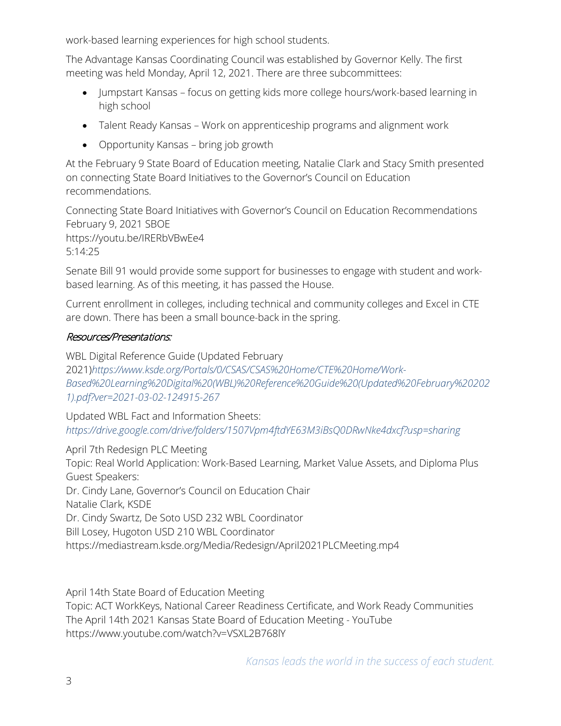work-based learning experiences for high school students.

The Advantage Kansas Coordinating Council was established by Governor Kelly. The first meeting was held Monday, April 12, 2021. There are three subcommittees:

- Jumpstart Kansas focus on getting kids more college hours/work-based learning in high school
- Talent Ready Kansas Work on apprenticeship programs and alignment work
- Opportunity Kansas bring job growth

At the February 9 State Board of Education meeting, Natalie Clark and Stacy Smith presented on connecting State Board Initiatives to the Governor's Council on Education recommendations.

Connecting State Board Initiatives with Governor's Council on Education Recommendations February 9, 2021 SBOE https://youtu.be/IRERbVBwEe4 5:14:25

Senate Bill 91 would provide some support for businesses to engage with student and workbased learning. As of this meeting, it has passed the House.

Current enrollment in colleges, including technical and community colleges and Excel in CTE are down. There has been a small bounce-back in the spring.

#### Resources/Presentations:

WBL Digital Reference Guide (Updated February 2021)*[https://www.ksde.org/Portals/0/CSAS/CSAS%20Home/CTE%20Home/Work-](https://www.ksde.org/Portals/0/CSAS/CSAS%20Home/CTE%20Home/Work-Based%20Learning%20Digital%20(WBL)%20Reference%20Guide%20(Updated%20February%202021).pdf?ver=2021-03-02-124915-267)[Based%20Learning%20Digital%20\(WBL\)%20Reference%20Guide%20\(Updated%20February%20202](https://www.ksde.org/Portals/0/CSAS/CSAS%20Home/CTE%20Home/Work-Based%20Learning%20Digital%20(WBL)%20Reference%20Guide%20(Updated%20February%202021).pdf?ver=2021-03-02-124915-267) [1\).pdf?ver=2021-03-02-124915-267](https://www.ksde.org/Portals/0/CSAS/CSAS%20Home/CTE%20Home/Work-Based%20Learning%20Digital%20(WBL)%20Reference%20Guide%20(Updated%20February%202021).pdf?ver=2021-03-02-124915-267)*

Updated WBL Fact and Information Sheets: *<https://drive.google.com/drive/folders/1507Vpm4ftdYE63M3iBsQ0DRwNke4dxcf?usp=sharing>*

April 7th Redesign PLC Meeting

Topic: Real World Application: Work-Based Learning, Market Value Assets, and Diploma Plus Guest Speakers:

Dr. Cindy Lane, Governor's Council on Education Chair

Natalie Clark, KSDE

Dr. Cindy Swartz, De Soto USD 232 WBL Coordinator

Bill Losey, Hugoton USD 210 WBL Coordinator

https://mediastream.ksde.org/Media/Redesign/April2021PLCMeeting.mp4

April 14th State Board of Education Meeting Topic: ACT WorkKeys, National Career Readiness Certificate, and Work Ready Communities The April 14th 2021 Kansas State Board of Education Meeting - YouTube https://www.youtube.com/watch?v=VSXL2B768lY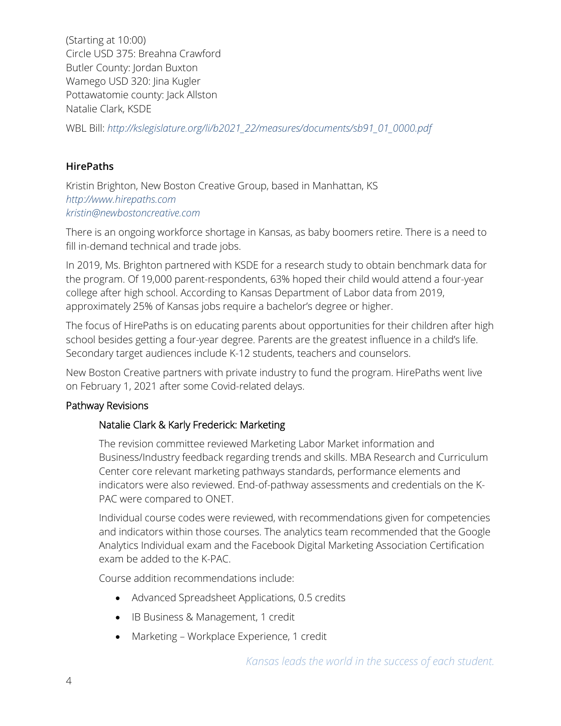(Starting at 10:00) Circle USD 375: Breahna Crawford Butler County: Jordan Buxton Wamego USD 320: Jina Kugler Pottawatomie county: Jack Allston Natalie Clark, KSDE

WBL Bill: *[http://kslegislature.org/li/b2021\\_22/measures/documents/sb91\\_01\\_0000.pdf](http://kslegislature.org/li/b2021_22/measures/documents/sb91_01_0000.pdf)*

## **HirePaths**

Kristin Brighton, New Boston Creative Group, based in Manhattan, KS *[http://www.hirepaths.com](http://www.hirepaths.com/) [kristin@newbostoncreative.com](mailto:kristin@newbostoncreative.com)*

There is an ongoing workforce shortage in Kansas, as baby boomers retire. There is a need to fill in-demand technical and trade jobs.

In 2019, Ms. Brighton partnered with KSDE for a research study to obtain benchmark data for the program. Of 19,000 parent-respondents, 63% hoped their child would attend a four-year college after high school. According to Kansas Department of Labor data from 2019, approximately 25% of Kansas jobs require a bachelor's degree or higher.

The focus of HirePaths is on educating parents about opportunities for their children after high school besides getting a four-year degree. Parents are the greatest influence in a child's life. Secondary target audiences include K-12 students, teachers and counselors.

New Boston Creative partners with private industry to fund the program. HirePaths went live on February 1, 2021 after some Covid-related delays.

## Pathway Revisions

## Natalie Clark & Karly Frederick: Marketing

The revision committee reviewed Marketing Labor Market information and Business/Industry feedback regarding trends and skills. MBA Research and Curriculum Center core relevant marketing pathways standards, performance elements and indicators were also reviewed. End-of-pathway assessments and credentials on the K-PAC were compared to ONET.

Individual course codes were reviewed, with recommendations given for competencies and indicators within those courses. The analytics team recommended that the Google Analytics Individual exam and the Facebook Digital Marketing Association Certification exam be added to the K-PAC.

Course addition recommendations include:

- Advanced Spreadsheet Applications, 0.5 credits
- IB Business & Management, 1 credit
- Marketing Workplace Experience, 1 credit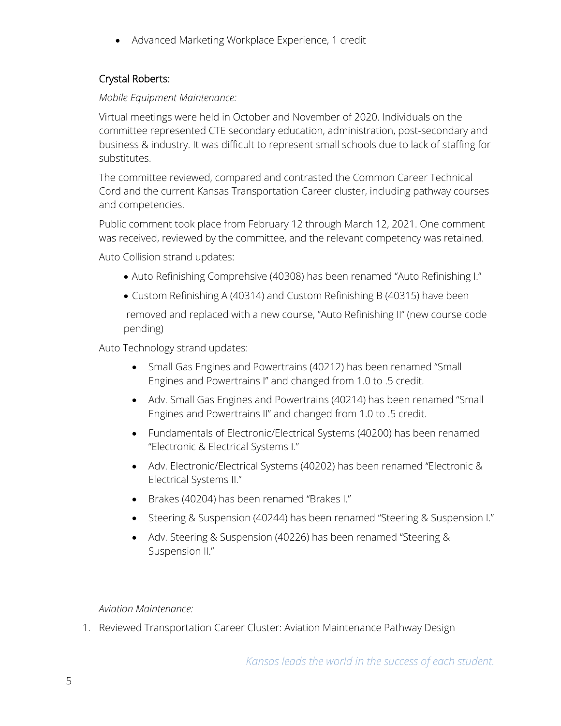• Advanced Marketing Workplace Experience, 1 credit

## Crystal Roberts:

### *Mobile Equipment Maintenance:*

Virtual meetings were held in October and November of 2020. Individuals on the committee represented CTE secondary education, administration, post-secondary and business & industry. It was difficult to represent small schools due to lack of staffing for substitutes.

The committee reviewed, compared and contrasted the Common Career Technical Cord and the current Kansas Transportation Career cluster, including pathway courses and competencies.

Public comment took place from February 12 through March 12, 2021. One comment was received, reviewed by the committee, and the relevant competency was retained.

Auto Collision strand updates:

- Auto Refinishing Comprehsive (40308) has been renamed "Auto Refinishing I."
- Custom Refinishing A (40314) and Custom Refinishing B (40315) have been

removed and replaced with a new course, "Auto Refinishing II" (new course code pending)

Auto Technology strand updates:

- Small Gas Engines and Powertrains (40212) has been renamed "Small Engines and Powertrains I" and changed from 1.0 to .5 credit.
- Adv. Small Gas Engines and Powertrains (40214) has been renamed "Small Engines and Powertrains II" and changed from 1.0 to .5 credit.
- Fundamentals of Electronic/Electrical Systems (40200) has been renamed "Electronic & Electrical Systems I."
- Adv. Electronic/Electrical Systems (40202) has been renamed "Electronic & Electrical Systems II."
- Brakes (40204) has been renamed "Brakes I."
- Steering & Suspension (40244) has been renamed "Steering & Suspension I."
- Adv. Steering & Suspension (40226) has been renamed "Steering & Suspension II."

*Aviation Maintenance:*

1. Reviewed Transportation Career Cluster: Aviation Maintenance Pathway Design

*Kansas leads the world in the success of each student.*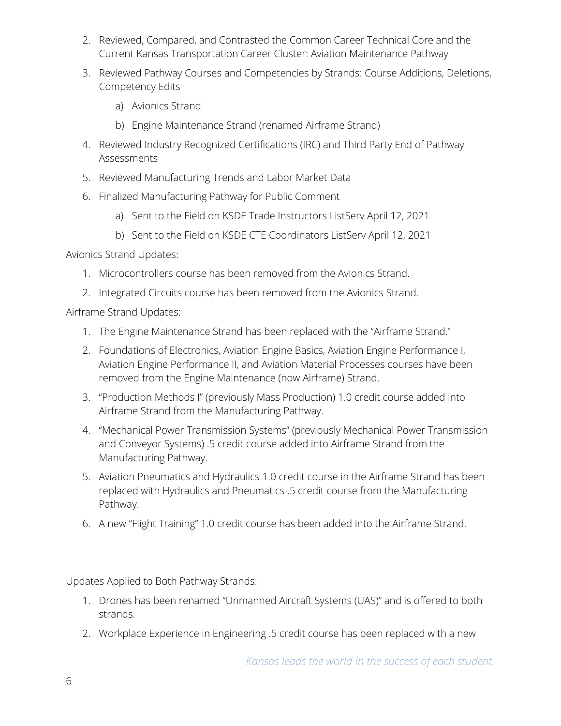- 2. Reviewed, Compared, and Contrasted the Common Career Technical Core and the Current Kansas Transportation Career Cluster: Aviation Maintenance Pathway
- 3. Reviewed Pathway Courses and Competencies by Strands: Course Additions, Deletions, Competency Edits
	- a) Avionics Strand
	- b) Engine Maintenance Strand (renamed Airframe Strand)
- 4. Reviewed Industry Recognized Certifications (IRC) and Third Party End of Pathway Assessments
- 5. Reviewed Manufacturing Trends and Labor Market Data
- 6. Finalized Manufacturing Pathway for Public Comment
	- a) Sent to the Field on KSDE Trade Instructors ListServ April 12, 2021
	- b) Sent to the Field on KSDE CTE Coordinators ListServ April 12, 2021

Avionics Strand Updates:

- 1. Microcontrollers course has been removed from the Avionics Strand.
- 2. Integrated Circuits course has been removed from the Avionics Strand.

Airframe Strand Updates:

- 1. The Engine Maintenance Strand has been replaced with the "Airframe Strand."
- 2. Foundations of Electronics, Aviation Engine Basics, Aviation Engine Performance I, Aviation Engine Performance II, and Aviation Material Processes courses have been removed from the Engine Maintenance (now Airframe) Strand.
- 3. "Production Methods I" (previously Mass Production) 1.0 credit course added into Airframe Strand from the Manufacturing Pathway.
- 4. "Mechanical Power Transmission Systems" (previously Mechanical Power Transmission and Conveyor Systems) .5 credit course added into Airframe Strand from the Manufacturing Pathway.
- 5. Aviation Pneumatics and Hydraulics 1.0 credit course in the Airframe Strand has been replaced with Hydraulics and Pneumatics .5 credit course from the Manufacturing Pathway.
- 6. A new "Flight Training" 1.0 credit course has been added into the Airframe Strand.

Updates Applied to Both Pathway Strands:

- 1. Drones has been renamed "Unmanned Aircraft Systems (UAS)" and is offered to both strands.
- 2. Workplace Experience in Engineering .5 credit course has been replaced with a new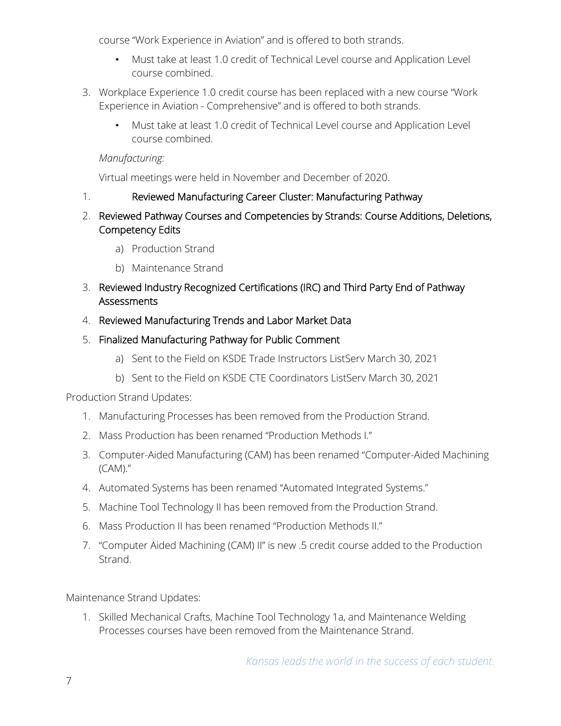course "Work Experience in Aviation" and is offered to both strands.

- Must take at least 1.0 credit of Technical Level course and Application Level course combined.
- 3. Workplace Experience 1.0 credit course has been replaced with a new course "Work Experience in Aviation - Comprehensive" and is offered to both strands.
	- Must take at least 1.0 credit of Technical Level course and Application Level course combined.

#### *Manufacturing:*

Virtual meetings were held in November and December of 2020.

## 1. Reviewed Manufacturing Career Cluster: Manufacturing Pathway

- 2. Reviewed Pathway Courses and Competencies by Strands: Course Additions, Deletions, Competency Edits
	- a) Production Strand
	- b) Maintenance Strand
- 3. Reviewed Industry Recognized Certifications (IRC) and Third Party End of Pathway Assessments
- 4. Reviewed Manufacturing Trends and Labor Market Data

## 5. Finalized Manufacturing Pathway for Public Comment

- a) Sent to the Field on KSDE Trade Instructors ListServ March 30, 2021
- b) Sent to the Field on KSDE CTE Coordinators ListServ March 30, 2021

## Production Strand Updates:

- 1. Manufacturing Processes has been removed from the Production Strand.
- 2. Mass Production has been renamed "Production Methods I."
- 3. Computer-Aided Manufacturing (CAM) has been renamed "Computer-Aided Machining (CAM)."
- 4. Automated Systems has been renamed "Automated Integrated Systems."
- 5. Machine Tool Technology II has been removed from the Production Strand.
- 6. Mass Production II has been renamed "Production Methods II."
- 7. "Computer Aided Machining (CAM) II" is new .5 credit course added to the Production Strand.

Maintenance Strand Updates:

1. Skilled Mechanical Crafts, Machine Tool Technology 1a, and Maintenance Welding Processes courses have been removed from the Maintenance Strand.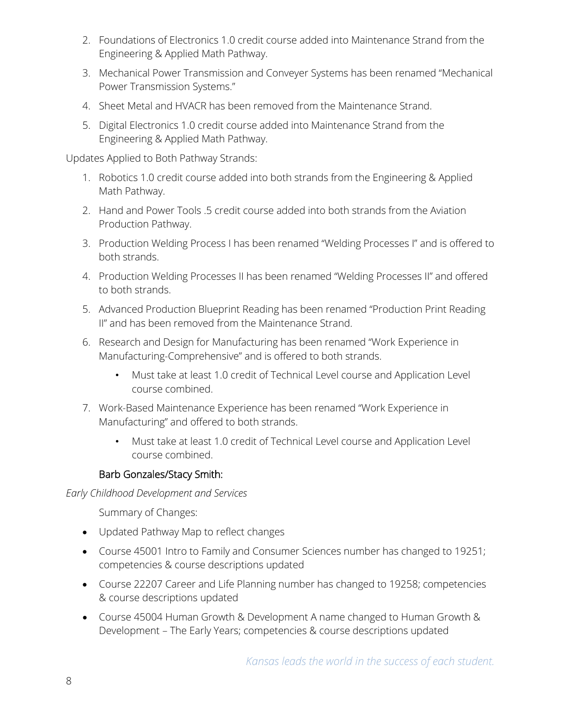- 2. Foundations of Electronics 1.0 credit course added into Maintenance Strand from the Engineering & Applied Math Pathway.
- 3. Mechanical Power Transmission and Conveyer Systems has been renamed "Mechanical Power Transmission Systems."
- 4. Sheet Metal and HVACR has been removed from the Maintenance Strand.
- 5. Digital Electronics 1.0 credit course added into Maintenance Strand from the Engineering & Applied Math Pathway.

Updates Applied to Both Pathway Strands:

- 1. Robotics 1.0 credit course added into both strands from the Engineering & Applied Math Pathway.
- 2. Hand and Power Tools .5 credit course added into both strands from the Aviation Production Pathway.
- 3. Production Welding Process I has been renamed "Welding Processes I" and is offered to both strands.
- 4. Production Welding Processes II has been renamed "Welding Processes II" and offered to both strands.
- 5. Advanced Production Blueprint Reading has been renamed "Production Print Reading II" and has been removed from the Maintenance Strand.
- 6. Research and Design for Manufacturing has been renamed "Work Experience in Manufacturing-Comprehensive" and is offered to both strands.
	- Must take at least 1.0 credit of Technical Level course and Application Level course combined.
- 7. Work-Based Maintenance Experience has been renamed "Work Experience in Manufacturing" and offered to both strands.
	- Must take at least 1.0 credit of Technical Level course and Application Level course combined.

## Barb Gonzales/Stacy Smith:

*Early Childhood Development and Services*

Summary of Changes:

- Updated Pathway Map to reflect changes
- Course 45001 Intro to Family and Consumer Sciences number has changed to 19251; competencies & course descriptions updated
- Course 22207 Career and Life Planning number has changed to 19258; competencies & course descriptions updated
- Course 45004 Human Growth & Development A name changed to Human Growth & Development – The Early Years; competencies & course descriptions updated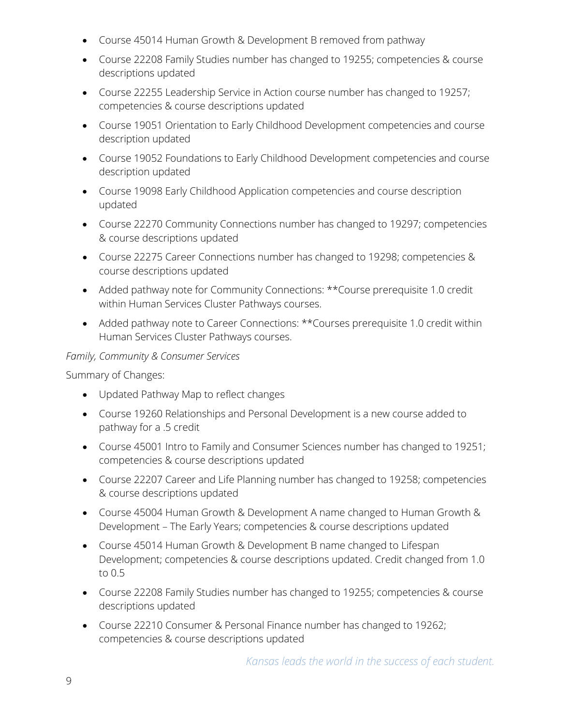- Course 45014 Human Growth & Development B removed from pathway
- Course 22208 Family Studies number has changed to 19255; competencies & course descriptions updated
- Course 22255 Leadership Service in Action course number has changed to 19257; competencies & course descriptions updated
- Course 19051 Orientation to Early Childhood Development competencies and course description updated
- Course 19052 Foundations to Early Childhood Development competencies and course description updated
- Course 19098 Early Childhood Application competencies and course description updated
- Course 22270 Community Connections number has changed to 19297; competencies & course descriptions updated
- Course 22275 Career Connections number has changed to 19298; competencies & course descriptions updated
- Added pathway note for Community Connections: \*\*Course prerequisite 1.0 credit within Human Services Cluster Pathways courses.
- Added pathway note to Career Connections: \*\*Courses prerequisite 1.0 credit within Human Services Cluster Pathways courses.

#### *Family, Community & Consumer Services*

Summary of Changes:

- Updated Pathway Map to reflect changes
- Course 19260 Relationships and Personal Development is a new course added to pathway for a .5 credit
- Course 45001 Intro to Family and Consumer Sciences number has changed to 19251; competencies & course descriptions updated
- Course 22207 Career and Life Planning number has changed to 19258; competencies & course descriptions updated
- Course 45004 Human Growth & Development A name changed to Human Growth & Development – The Early Years; competencies & course descriptions updated
- Course 45014 Human Growth & Development B name changed to Lifespan Development; competencies & course descriptions updated. Credit changed from 1.0 to 0.5
- Course 22208 Family Studies number has changed to 19255; competencies & course descriptions updated
- Course 22210 Consumer & Personal Finance number has changed to 19262; competencies & course descriptions updated